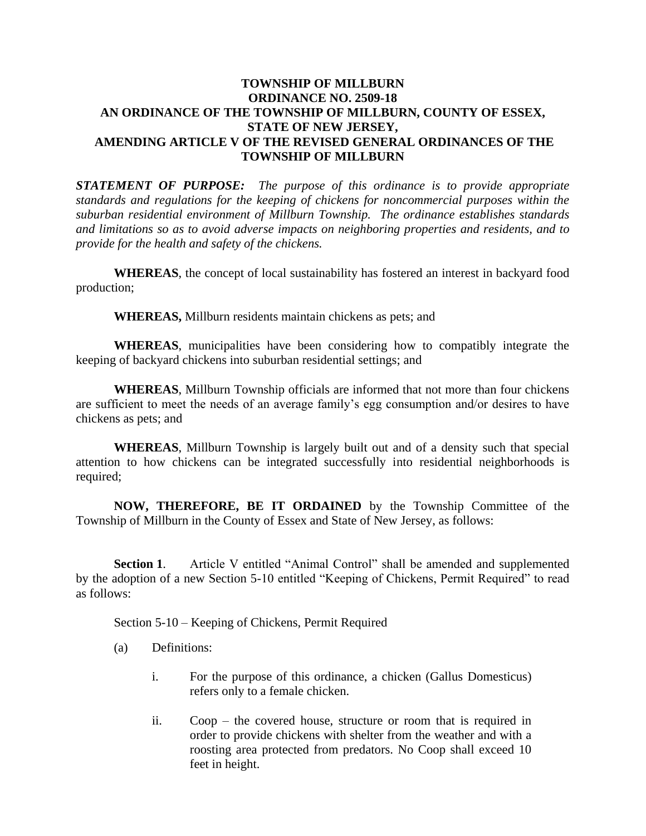## **TOWNSHIP OF MILLBURN ORDINANCE NO. 2509-18 AN ORDINANCE OF THE TOWNSHIP OF MILLBURN, COUNTY OF ESSEX, STATE OF NEW JERSEY, AMENDING ARTICLE V OF THE REVISED GENERAL ORDINANCES OF THE TOWNSHIP OF MILLBURN**

*STATEMENT OF PURPOSE: The purpose of this ordinance is to provide appropriate standards and regulations for the keeping of chickens for noncommercial purposes within the suburban residential environment of Millburn Township. The ordinance establishes standards and limitations so as to avoid adverse impacts on neighboring properties and residents, and to provide for the health and safety of the chickens.*

**WHEREAS**, the concept of local sustainability has fostered an interest in backyard food production;

**WHEREAS,** Millburn residents maintain chickens as pets; and

**WHEREAS**, municipalities have been considering how to compatibly integrate the keeping of backyard chickens into suburban residential settings; and

**WHEREAS**, Millburn Township officials are informed that not more than four chickens are sufficient to meet the needs of an average family's egg consumption and/or desires to have chickens as pets; and

**WHEREAS**, Millburn Township is largely built out and of a density such that special attention to how chickens can be integrated successfully into residential neighborhoods is required;

**NOW, THEREFORE, BE IT ORDAINED** by the Township Committee of the Township of Millburn in the County of Essex and State of New Jersey, as follows:

**Section 1.** Article V entitled "Animal Control" shall be amended and supplemented by the adoption of a new Section 5-10 entitled "Keeping of Chickens, Permit Required" to read as follows:

Section 5-10 – Keeping of Chickens, Permit Required

- (a) Definitions:
	- i. For the purpose of this ordinance, a chicken (Gallus Domesticus) refers only to a female chicken.
	- ii. Coop the covered house, structure or room that is required in order to provide chickens with shelter from the weather and with a roosting area protected from predators. No Coop shall exceed 10 feet in height.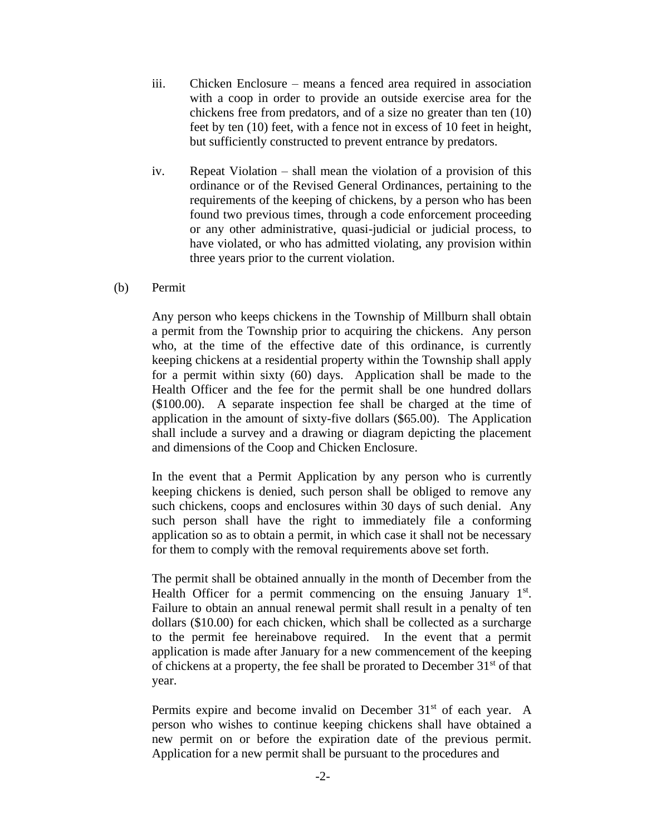- iii. Chicken Enclosure means a fenced area required in association with a coop in order to provide an outside exercise area for the chickens free from predators, and of a size no greater than ten (10) feet by ten (10) feet, with a fence not in excess of 10 feet in height, but sufficiently constructed to prevent entrance by predators.
- iv. Repeat Violation shall mean the violation of a provision of this ordinance or of the Revised General Ordinances, pertaining to the requirements of the keeping of chickens, by a person who has been found two previous times, through a code enforcement proceeding or any other administrative, quasi-judicial or judicial process, to have violated, or who has admitted violating, any provision within three years prior to the current violation.
- (b) Permit

Any person who keeps chickens in the Township of Millburn shall obtain a permit from the Township prior to acquiring the chickens. Any person who, at the time of the effective date of this ordinance, is currently keeping chickens at a residential property within the Township shall apply for a permit within sixty (60) days. Application shall be made to the Health Officer and the fee for the permit shall be one hundred dollars (\$100.00). A separate inspection fee shall be charged at the time of application in the amount of sixty-five dollars (\$65.00). The Application shall include a survey and a drawing or diagram depicting the placement and dimensions of the Coop and Chicken Enclosure.

In the event that a Permit Application by any person who is currently keeping chickens is denied, such person shall be obliged to remove any such chickens, coops and enclosures within 30 days of such denial. Any such person shall have the right to immediately file a conforming application so as to obtain a permit, in which case it shall not be necessary for them to comply with the removal requirements above set forth.

The permit shall be obtained annually in the month of December from the Health Officer for a permit commencing on the ensuing January  $1<sup>st</sup>$ . Failure to obtain an annual renewal permit shall result in a penalty of ten dollars (\$10.00) for each chicken, which shall be collected as a surcharge to the permit fee hereinabove required. In the event that a permit application is made after January for a new commencement of the keeping of chickens at a property, the fee shall be prorated to December  $31<sup>st</sup>$  of that year.

Permits expire and become invalid on December 31<sup>st</sup> of each year. A person who wishes to continue keeping chickens shall have obtained a new permit on or before the expiration date of the previous permit. Application for a new permit shall be pursuant to the procedures and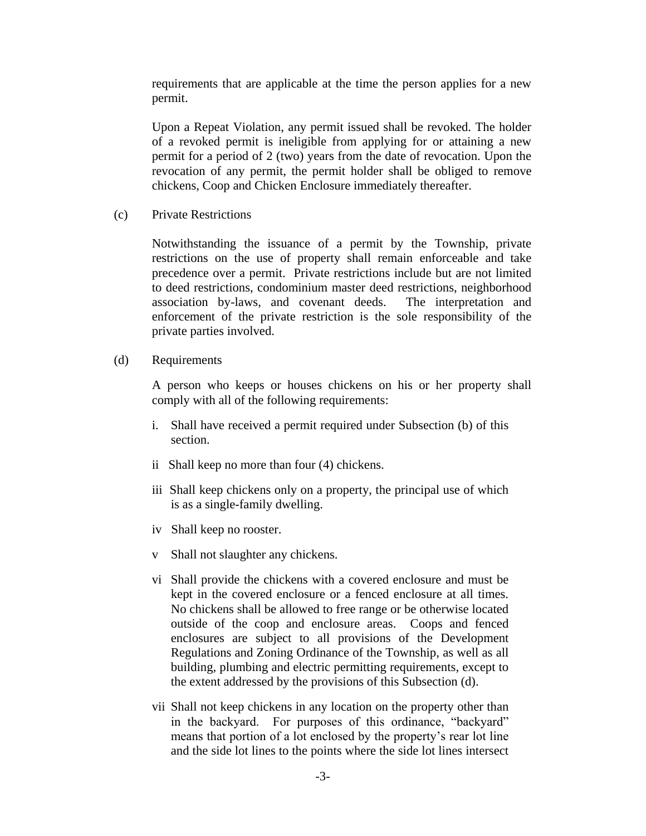requirements that are applicable at the time the person applies for a new permit.

Upon a Repeat Violation, any permit issued shall be revoked. The holder of a revoked permit is ineligible from applying for or attaining a new permit for a period of 2 (two) years from the date of revocation. Upon the revocation of any permit, the permit holder shall be obliged to remove chickens, Coop and Chicken Enclosure immediately thereafter.

(c) Private Restrictions

Notwithstanding the issuance of a permit by the Township, private restrictions on the use of property shall remain enforceable and take precedence over a permit. Private restrictions include but are not limited to deed restrictions, condominium master deed restrictions, neighborhood association by-laws, and covenant deeds. The interpretation and enforcement of the private restriction is the sole responsibility of the private parties involved.

(d) Requirements

A person who keeps or houses chickens on his or her property shall comply with all of the following requirements:

- i. Shall have received a permit required under Subsection (b) of this section.
- ii Shall keep no more than four (4) chickens.
- iii Shall keep chickens only on a property, the principal use of which is as a single-family dwelling.
- iv Shall keep no rooster.
- v Shall not slaughter any chickens.
- vi Shall provide the chickens with a covered enclosure and must be kept in the covered enclosure or a fenced enclosure at all times. No chickens shall be allowed to free range or be otherwise located outside of the coop and enclosure areas. Coops and fenced enclosures are subject to all provisions of the Development Regulations and Zoning Ordinance of the Township, as well as all building, plumbing and electric permitting requirements, except to the extent addressed by the provisions of this Subsection (d).
- vii Shall not keep chickens in any location on the property other than in the backyard. For purposes of this ordinance, "backyard" means that portion of a lot enclosed by the property's rear lot line and the side lot lines to the points where the side lot lines intersect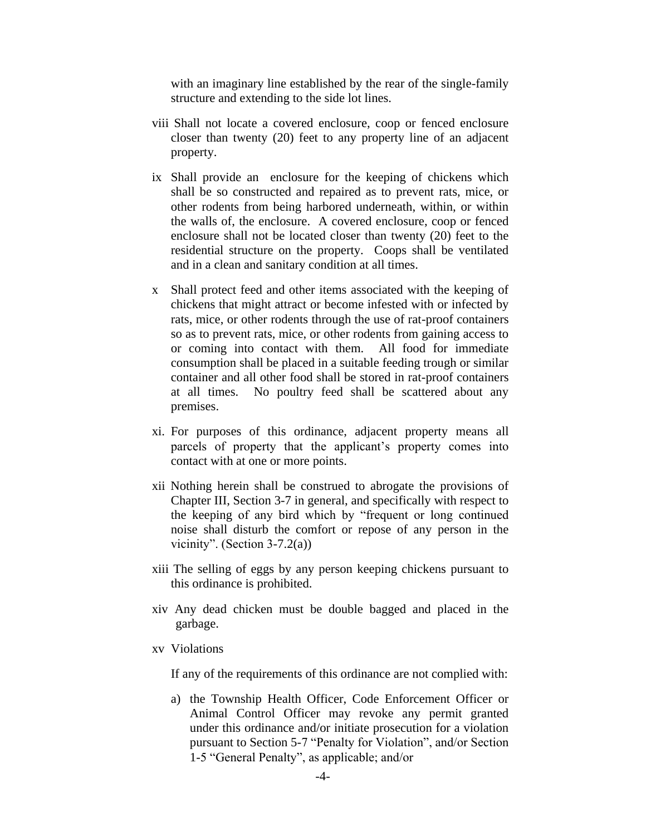with an imaginary line established by the rear of the single-family structure and extending to the side lot lines.

- viii Shall not locate a covered enclosure, coop or fenced enclosure closer than twenty (20) feet to any property line of an adjacent property.
- ix Shall provide an enclosure for the keeping of chickens which shall be so constructed and repaired as to prevent rats, mice, or other rodents from being harbored underneath, within, or within the walls of, the enclosure. A covered enclosure, coop or fenced enclosure shall not be located closer than twenty (20) feet to the residential structure on the property. Coops shall be ventilated and in a clean and sanitary condition at all times.
- x Shall protect feed and other items associated with the keeping of chickens that might attract or become infested with or infected by rats, mice, or other rodents through the use of rat-proof containers so as to prevent rats, mice, or other rodents from gaining access to or coming into contact with them. All food for immediate consumption shall be placed in a suitable feeding trough or similar container and all other food shall be stored in rat-proof containers at all times. No poultry feed shall be scattered about any premises.
- xi. For purposes of this ordinance, adjacent property means all parcels of property that the applicant's property comes into contact with at one or more points.
- xii Nothing herein shall be construed to abrogate the provisions of Chapter III, Section 3-7 in general, and specifically with respect to the keeping of any bird which by "frequent or long continued noise shall disturb the comfort or repose of any person in the vicinity". (Section  $3-7.2(a)$ )
- xiii The selling of eggs by any person keeping chickens pursuant to this ordinance is prohibited.
- xiv Any dead chicken must be double bagged and placed in the garbage.
- xv Violations

If any of the requirements of this ordinance are not complied with:

a) the Township Health Officer, Code Enforcement Officer or Animal Control Officer may revoke any permit granted under this ordinance and/or initiate prosecution for a violation pursuant to Section 5-7 "Penalty for Violation", and/or Section 1-5 "General Penalty", as applicable; and/or